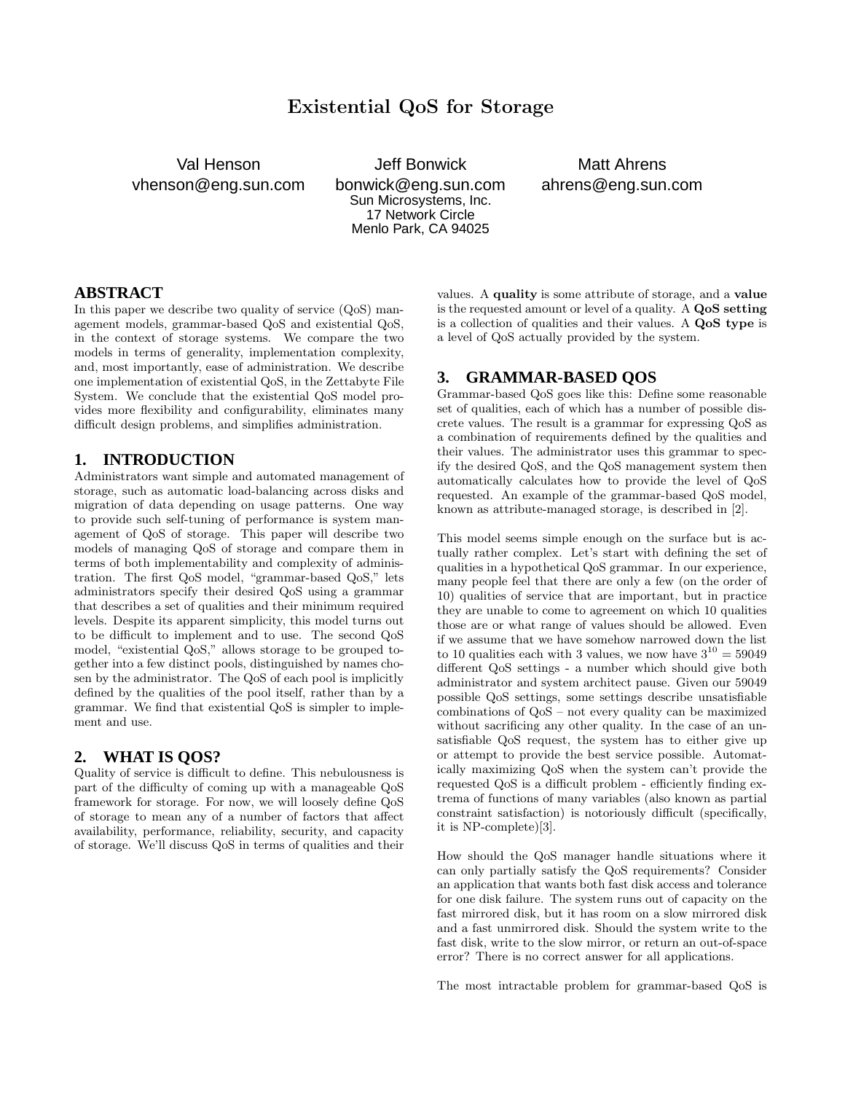# **Existential QoS for Storage**

Val Henson vhenson@eng.sun.com

Jeff Bonwick bonwick@eng.sun.com Sun Microsystems, Inc. 17 Network Circle Menlo Park, CA 94025

Matt Ahrens ahrens@eng.sun.com

#### **ABSTRACT**

In this paper we describe two quality of service (QoS) management models, grammar-based QoS and existential QoS, in the context of storage systems. We compare the two models in terms of generality, implementation complexity, and, most importantly, ease of administration. We describe one implementation of existential QoS, in the Zettabyte File System. We conclude that the existential QoS model provides more flexibility and configurability, eliminates many difficult design problems, and simplifies administration.

#### **1. INTRODUCTION**

Administrators want simple and automated management of storage, such as automatic load-balancing across disks and migration of data depending on usage patterns. One way to provide such self-tuning of performance is system management of QoS of storage. This paper will describe two models of managing QoS of storage and compare them in terms of both implementability and complexity of administration. The first QoS model, "grammar-based QoS," lets administrators specify their desired QoS using a grammar that describes a set of qualities and their minimum required levels. Despite its apparent simplicity, this model turns out to be difficult to implement and to use. The second QoS model, "existential QoS," allows storage to be grouped together into a few distinct pools, distinguished by names chosen by the administrator. The QoS of each pool is implicitly defined by the qualities of the pool itself, rather than by a grammar. We find that existential QoS is simpler to implement and use.

#### **2. WHAT IS QOS?**

Quality of service is difficult to define. This nebulousness is part of the difficulty of coming up with a manageable QoS framework for storage. For now, we will loosely define QoS of storage to mean any of a number of factors that affect availability, performance, reliability, security, and capacity of storage. We'll discuss QoS in terms of qualities and their

values. A **quality** is some attribute of storage, and a **value** is the requested amount or level of a quality. A **QoS setting** is a collection of qualities and their values. A **QoS type** is a level of QoS actually provided by the system.

# **3. GRAMMAR-BASED QOS**

Grammar-based QoS goes like this: Define some reasonable set of qualities, each of which has a number of possible discrete values. The result is a grammar for expressing QoS as a combination of requirements defined by the qualities and their values. The administrator uses this grammar to specify the desired QoS, and the QoS management system then automatically calculates how to provide the level of QoS requested. An example of the grammar-based QoS model, known as attribute-managed storage, is described in [2].

This model seems simple enough on the surface but is actually rather complex. Let's start with defining the set of qualities in a hypothetical QoS grammar. In our experience, many people feel that there are only a few (on the order of 10) qualities of service that are important, but in practice they are unable to come to agreement on which 10 qualities those are or what range of values should be allowed. Even if we assume that we have somehow narrowed down the list to 10 qualities each with 3 values, we now have  $3^{10} = 59049$ different QoS settings - a number which should give both administrator and system architect pause. Given our 59049 possible QoS settings, some settings describe unsatisfiable combinations of QoS – not every quality can be maximized without sacrificing any other quality. In the case of an unsatisfiable QoS request, the system has to either give up or attempt to provide the best service possible. Automatically maximizing QoS when the system can't provide the requested QoS is a difficult problem - efficiently finding extrema of functions of many variables (also known as partial constraint satisfaction) is notoriously difficult (specifically, it is NP-complete)[3].

How should the QoS manager handle situations where it can only partially satisfy the QoS requirements? Consider an application that wants both fast disk access and tolerance for one disk failure. The system runs out of capacity on the fast mirrored disk, but it has room on a slow mirrored disk and a fast unmirrored disk. Should the system write to the fast disk, write to the slow mirror, or return an out-of-space error? There is no correct answer for all applications.

The most intractable problem for grammar-based QoS is